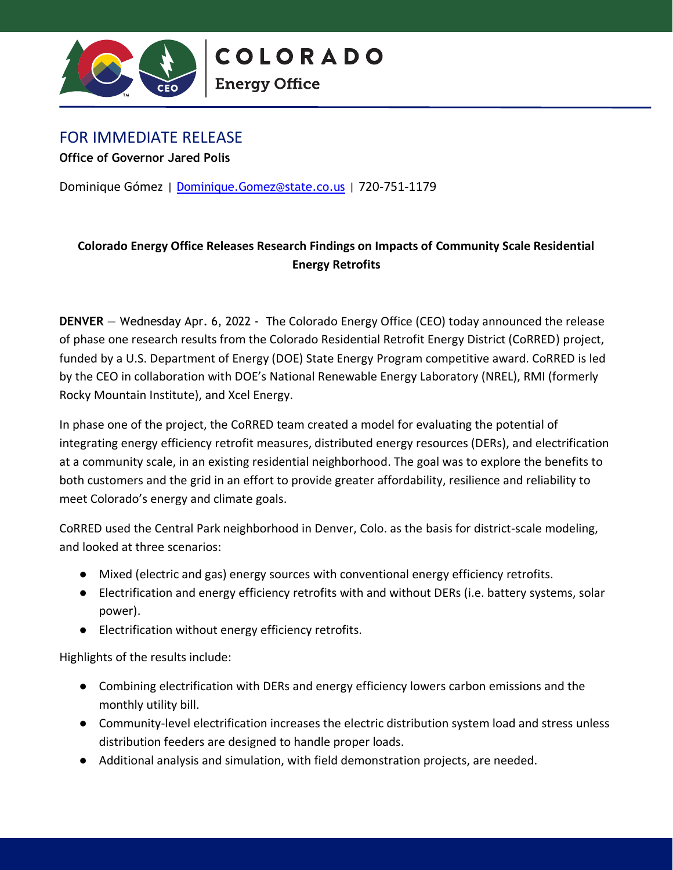

**Energy Office** 

## FOR IMMEDIATE RELEASE

**Office of Governor Jared Polis**

Dominique Gómez | [Dominique.Gomez@state.co.us](mailto:Dominique.gomez@state.co.us) | 720-751-1179

## **Colorado Energy Office Releases Research Findings on Impacts of Community Scale Residential Energy Retrofits**

**DENVER** — Wednesday Apr. 6, 2022 - The Colorado Energy Office (CEO) today announced the release of phase one research results from the Colorado Residential Retrofit Energy District (CoRRED) project, funded by a U.S. Department of Energy (DOE) State Energy Program competitive award. CoRRED is led by the CEO in collaboration with DOE's National Renewable Energy Laboratory (NREL), RMI (formerly Rocky Mountain Institute), and Xcel Energy.

In phase one of the project, the CoRRED team created a model for evaluating the potential of integrating energy efficiency retrofit measures, distributed energy resources (DERs), and electrification at a community scale, in an existing residential neighborhood. The goal was to explore the benefits to both customers and the grid in an effort to provide greater affordability, resilience and reliability to meet Colorado's energy and climate goals.

CoRRED used the Central Park neighborhood in Denver, Colo. as the basis for district-scale modeling, and looked at three scenarios:

- Mixed (electric and gas) energy sources with conventional energy efficiency retrofits.
- Electrification and energy efficiency retrofits with and without DERs (i.e. battery systems, solar power).
- Electrification without energy efficiency retrofits.

Highlights of the results include:

- Combining electrification with DERs and energy efficiency lowers carbon emissions and the monthly utility bill.
- Community-level electrification increases the electric distribution system load and stress unless distribution feeders are designed to handle proper loads.
- Additional analysis and simulation, with field demonstration projects, are needed.